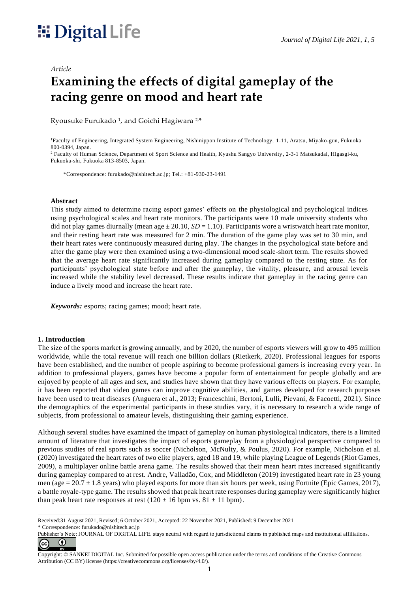# *Journal of Digital Life 2021, 1, 5*

#### *Article*

# **Examining the effects of digital gameplay of the racing genre on mood and heart rate**

Ryousuke Furukado <sup>1</sup> , and Goichi Hagiwara 2,\*

<sup>1</sup>Faculty of Engineering, Integrated System Engineering, Nishinippon Institute of Technology, 1-11, Aratsu, Miyako-gun, Fukuoka 800-0394, Japan.

<sup>2</sup> Faculty of Human Science, Department of Sport Science and Health, Kyushu Sangyo University, 2-3-1 Matsukadai, Higasgi-ku, Fukuoka-shi, Fukuoka 813-8503, Japan.

\*Correspondence: furukado@nishitech.ac.jp; Tel.: +81-930-23-1491

#### **Abstract**

This study aimed to determine racing esport games' effects on the physiological and psychological indices using psychological scales and heart rate monitors. The participants were 10 male university students who did not play games diurnally (mean age  $\pm$  20.10, *SD* = 1.10). Participants wore a wristwatch heart rate monitor, and their resting heart rate was measured for 2 min. The duration of the game play was set to 30 min, and their heart rates were continuously measured during play. The changes in the psychological state before and after the game play were then examined using a two-dimensional mood scale-short term. The results showed that the average heart rate significantly increased during gameplay compared to the resting state. As for participants' psychological state before and after the gameplay, the vitality, pleasure, and arousal levels increased while the stability level decreased. These results indicate that gameplay in the racing genre can induce a lively mood and increase the heart rate.

*Keywords:* esports; racing games; mood; heart rate.

#### **1. Introduction**

The size of the sports market is growing annually, and by 2020, the number of esports viewers will grow to 495 million worldwide, while the total revenue will reach one billion dollars (Rietkerk, 2020). Professional leagues for esports have been established, and the number of people aspiring to become professional gamers is increasing every year. In addition to professional players, games have become a popular form of entertainment for people globally and are enjoyed by people of all ages and sex, and studies have shown that they have various effects on players. For example, it has been reported that video games can improve cognitive abilities, and games developed for research purposes have been used to treat diseases (Anguera et al., 2013; Franceschini, Bertoni, Lulli, Pievani, & Facoetti, 2021). Since the demographics of the experimental participants in these studies vary, it is necessary to research a wide range of subjects, from professional to amateur levels, distinguishing their gaming experience.

Although several studies have examined the impact of gameplay on human physiological indicators, there is a limited amount of literature that investigates the impact of esports gameplay from a physiological perspective compared to previous studies of real sports such as soccer (Nicholson, McNulty, & Poulus, 2020). For example, Nicholson et al. (2020) investigated the heart rates of two elite players, aged 18 and 19, while playing League of Legends (Riot Games, 2009), a multiplayer online battle arena game. The results showed that their mean heart rates increased significantly during gameplay compared to at rest. Andre, Valladão, Cox, and Middleton (2019) investigated heart rate in 23 young men (age =  $20.7 \pm 1.8$  years) who played esports for more than six hours per week, using Fortnite (Epic Games, 2017), a battle royale-type game. The results showed that peak heart rate responses during gameplay were significantly higher than peak heart rate responses at rest  $(120 \pm 16$  bpm vs.  $81 \pm 11$  bpm).

Received:31 August 2021, Revised; 6 October 2021, Accepted: 22 November 2021, Published: 9 December 2021

<sup>\*</sup> Correspondence: furukado@nishitech.ac.jp

Publisher's Note: JOURNAL OF DIGITAL LIFE. stays neutral with regard to jurisdictional claims in published maps and institutional affiliations.  $\odot$ (cc

Copyright: © SANKEI DIGITAL Inc. Submitted for possible open access publication under the terms and conditions of the Creative Commons Attribution (CC BY) license [\(https://creativecommons.org/licenses/by/4.0/\)](https://creativecommons.org/licenses/by/4.0/).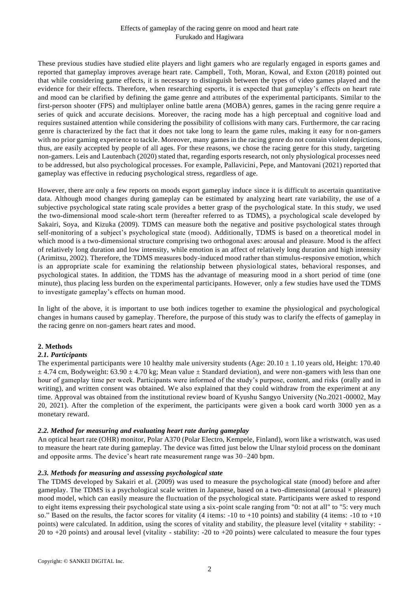#### Effects of gameplay of the racing genre on mood and heart rate Furukado and Hagiwara

These previous studies have studied elite players and light gamers who are regularly engaged in esports games and reported that gameplay improves average heart rate. Campbell, Toth, Moran, Kowal, and Exton (2018) pointed out that while considering game effects, it is necessary to distinguish between the types of video games played and the evidence for their effects. Therefore, when researching esports, it is expected that gameplay's effects on heart rate and mood can be clarified by defining the game genre and attributes of the experimental participants. Similar to the first-person shooter (FPS) and multiplayer online battle arena (MOBA) genres, games in the racing genre require a series of quick and accurate decisions. Moreover, the racing mode has a high perceptual and cognitive load and requires sustained attention while considering the possibility of collisions with many cars. Furthermore, the car racing genre is characterized by the fact that it does not take long to learn the game rules, making it easy for n on-gamers with no prior gaming experience to tackle. Moreover, many games in the racing genre do not contain violent depictions, thus, are easily accepted by people of all ages. For these reasons, we chose the racing genre for this study, targeting non-gamers. Leis and Lautenbach (2020) stated that, regarding esports research, not only physiological processes need to be addressed, but also psychological processes. For example, Pallavicini, Pepe, and Mantovani (2021) reported that gameplay was effective in reducing psychological stress, regardless of age.

However, there are only a few reports on moods esport gameplay induce since it is difficult to ascertain quantitative data. Although mood changes during gameplay can be estimated by analyzing heart rate variability, the use of a subjective psychological state rating scale provides a better grasp of the psychological state. In this study, we used the two-dimensional mood scale-short term (hereafter referred to as TDMS), a psychological scale developed by Sakairi, Soya, and Kizuka (2009). TDMS can measure both the negative and positive psychological states through self-monitoring of a subject's psychological state (mood). Additionally, TDMS is based on a theoretical model in which mood is a two-dimensional structure comprising two orthogonal axes: arousal and pleasure. Mood is the affect of relatively long duration and low intensity, while emotion is an affect of relatively long duration and high intensity (Arimitsu, 2002). Therefore, the TDMS measures body-induced mood rather than stimulus-responsive emotion, which is an appropriate scale for examining the relationship between physiological states, behavioral responses, and psychological states. In addition, the TDMS has the advantage of measuring mood in a short period of time (one minute), thus placing less burden on the experimental participants. However, only a few studies have used the TDMS to investigate gameplay's effects on human mood.

In light of the above, it is important to use both indices together to examine the physiological and psychological changes in humans caused by gameplay. Therefore, the purpose of this study was to clarify the effects of gameplay in the racing genre on non-gamers heart rates and mood.

#### **2. Methods**

#### *2.1. Participants*

The experimental participants were 10 healthy male university students (Age:  $20.10 \pm 1.10$  years old, Height: 170.40  $\pm$  4.74 cm, Bodyweight: 63.90  $\pm$  4.70 kg; Mean value  $\pm$  Standard deviation), and were non-gamers with less than one hour of gameplay time per week. Participants were informed of the study's purpose, content, and risks (orally and in writing), and written consent was obtained. We also explained that they could withdraw from the experiment at any time. Approval was obtained from the institutional review board of Kyushu Sangyo University (No.2021-00002, May 20, 2021). After the completion of the experiment, the participants were given a book card worth 3000 yen as a monetary reward.

#### *2.2. Method for measuring and evaluating heart rate during gameplay*

An optical heart rate (OHR) monitor, Polar A370 (Polar Electro, Kempele, Finland), worn like a wristwatch, was used to measure the heart rate during gameplay. The device was fitted just below the Ulnar styloid process on the dominant and opposite arms. The device's heart rate measurement range was 30–240 bpm.

#### *2.3. Methods for measuring and assessing psychological state*

The TDMS developed by Sakairi et al. (2009) was used to measure the psychological state (mood) before and after gameplay. The TDMS is a psychological scale written in Japanese, based on a two-dimensional (arousal  $\times$  pleasure) mood model, which can easily measure the fluctuation of the psychological state. Participants were asked to respond to eight items expressing their psychological state using a six-point scale ranging from "0: not at all" to "5: very much so." Based on the results, the factor scores for vitality (4 items:  $-10$  to  $+10$  points) and stability (4 items:  $-10$  to  $+10$ points) were calculated. In addition, using the scores of vitality and stability, the pleasure level (vitality + stability: -20 to +20 points) and arousal level (vitality - stability: -20 to +20 points) were calculated to measure the four types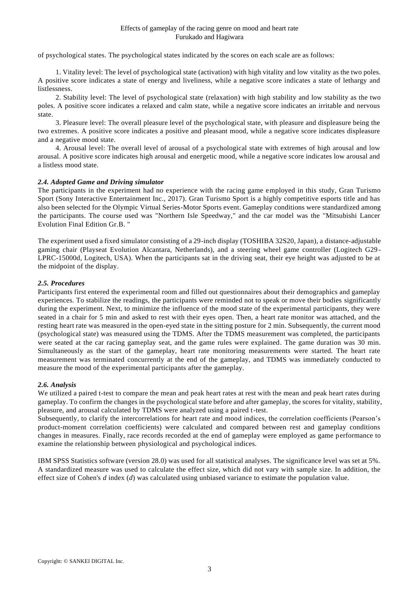of psychological states. The psychological states indicated by the scores on each scale are as follows:

1. Vitality level: The level of psychological state (activation) with high vitality and low vitality as the two poles. A positive score indicates a state of energy and liveliness, while a negative score indicates a state of lethargy and listlessness.

2. Stability level: The level of psychological state (relaxation) with high stability and low stability as the two poles. A positive score indicates a relaxed and calm state, while a negative score indicates an irritable and nervous state.

3. Pleasure level: The overall pleasure level of the psychological state, with pleasure and displeasure being the two extremes. A positive score indicates a positive and pleasant mood, while a negative score indicates displeasure and a negative mood state.

4. Arousal level: The overall level of arousal of a psychological state with extremes of high arousal and low arousal. A positive score indicates high arousal and energetic mood, while a negative score indicates low arousal and a listless mood state.

# *2.4. Adopted Game and Driving simulator*

The participants in the experiment had no experience with the racing game employed in this study, Gran Turismo Sport (Sony Interactive Entertainment Inc., 2017). Gran Turismo Sport is a highly competitive esports title and has also been selected for the Olympic Virtual Series-Motor Sports event. Gameplay conditions were standardized among the participants. The course used was "Northern Isle Speedway," and the car model was the "Mitsubishi Lancer Evolution Final Edition Gr.B. "

The experiment used a fixed simulator consisting of a 29-inch display (TOSHIBA 32S20, Japan), a distance-adjustable gaming chair (Playseat Evolution Alcantara, Netherlands), and a steering wheel game controller (Logitech G29 - LPRC-15000d, Logitech, USA). When the participants sat in the driving seat, their eye height was adjusted to be at the midpoint of the display.

#### *2.5. Procedures*

Participants first entered the experimental room and filled out questionnaires about their demographics and gameplay experiences. To stabilize the readings, the participants were reminded not to speak or move their bodies significantly during the experiment. Next, to minimize the influence of the mood state of the experimental participants, they were seated in a chair for 5 min and asked to rest with their eyes open. Then, a heart rate monitor was attached, and the resting heart rate was measured in the open-eyed state in the sitting posture for 2 min. Subsequently, the current mood (psychological state) was measured using the TDMS. After the TDMS measurement was completed, the participants were seated at the car racing gameplay seat, and the game rules were explained. The game duration was 30 min. Simultaneously as the start of the gameplay, heart rate monitoring measurements were started. The heart rate measurement was terminated concurrently at the end of the gameplay, and TDMS was immediately conducted to measure the mood of the experimental participants after the gameplay.

# *2.6. Analysis*

We utilized a paired t-test to compare the mean and peak heart rates at rest with the mean and peak heart rates during gameplay. To confirm the changes in the psychological state before and after gameplay, the scores for vitality, stability, pleasure, and arousal calculated by TDMS were analyzed using a paired t-test.

Subsequently, to clarify the intercorrelations for heart rate and mood indices, the correlation coefficients (Pearson's product-moment correlation coefficients) were calculated and compared between rest and gameplay conditions changes in measures. Finally, race records recorded at the end of gameplay were employed as game performance to examine the relationship between physiological and psychological indices.

IBM SPSS Statistics software (version 28.0) was used for all statistical analyses. The significance level was set at 5%. A standardized measure was used to calculate the effect size, which did not vary with sample size. In addition, the effect size of Cohen's *d* index (*d*) was calculated using unbiased variance to estimate the population value.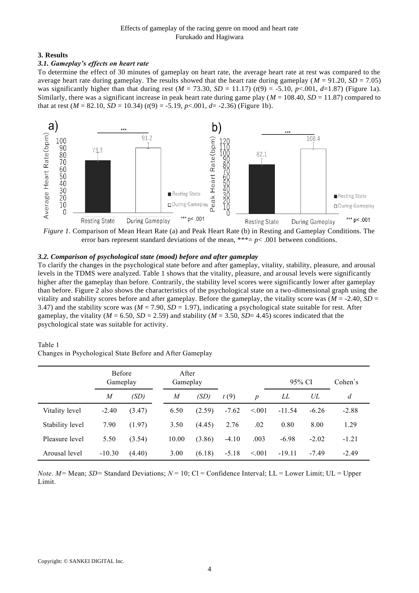#### **3. Results**

# *3.1. Gameplay's effects on heart rate*

To determine the effect of 30 minutes of gameplay on heart rate, the average heart rate at rest was compared to the average heart rate during gameplay. The results showed that the heart rate during gameplay ( $M = 91.20$ ,  $SD = 7.05$ ) was significantly higher than that during rest  $(M = 73.30, SD = 11.17)$   $(t(9) = -5.10, p < .001, d=1.87)$  (Figure 1a). Similarly, there was a significant increase in peak heart rate during game play (*M* = 108.40, *SD* = 11.87) compared to that at rest  $(M = 82.10, SD = 10.34)$   $(t(9) = -5.19, p < .001, d = -2.36)$  (Figure 1b).



*Figure 1.* Comparison of Mean Heart Rate (a) and Peak Heart Rate (b) in Resting and Gameplay Conditions. The error bars represent standard deviations of the mean, \*\*\*=  $p$ <.001 between conditions.

# *3.2. Comparison of psychological state (mood) before and after gameplay*

To clarify the changes in the psychological state before and after gameplay, vitality, stability, pleasure, and arousal levels in the TDMS were analyzed. Table 1 shows that the vitality, pleasure, and arousal levels were significantly higher after the gameplay than before. Contrarily, the stability level scores were significantly lower after gameplay than before. Figure 2 also shows the characteristics of the psychological state on a two-dimensional graph using the vitality and stability scores before and after gameplay. Before the gameplay, the vitality score was  $(M = -2.40, SD =$ 3.47) and the stability score was  $(M = 7.90, SD = 1.97)$ , indicating a psychological state suitable for rest. After gameplay, the vitality ( $M = 6.50$ ,  $SD = 2.59$ ) and stability ( $M = 3.50$ ,  $SD = 4.45$ ) scores indicated that the psychological state was suitable for activity.

#### Table 1

Changes in Psychological State Before and After Gameplay

|                 | <b>Before</b><br>Gameplay |        | After<br>Gameplay |        |         |                  | 95% CI   |         | Cohen's |
|-----------------|---------------------------|--------|-------------------|--------|---------|------------------|----------|---------|---------|
|                 | $\overline{M}$            | (SD)   | M                 | (SD)   | t(9)    | $\boldsymbol{p}$ | LL       | UL      | d       |
| Vitality level  | $-2.40$                   | (3.47) | 6.50              | (2.59) | $-7.62$ | < 0.01           | $-11.54$ | $-6.26$ | $-2.88$ |
| Stability level | 7.90                      | (1.97) | 3.50              | (4.45) | 2.76    | .02              | 0.80     | 8.00    | 1.29    |
| Pleasure level  | 5.50                      | (3.54) | 10.00             | (3.86) | $-4.10$ | .003             | $-6.98$  | $-2.02$ | $-1.21$ |
| Arousal level   | $-10.30$                  | (4.40) | 3.00              | (6.18) | $-5.18$ | < 0.01           | $-19.11$ | -7.49   | $-2.49$ |

*Note*. *M=* Mean; *SD=* Standard Deviations; *N* = 10; Cl = Confidence Interval; LL = Lower Limit; UL = Upper Limit.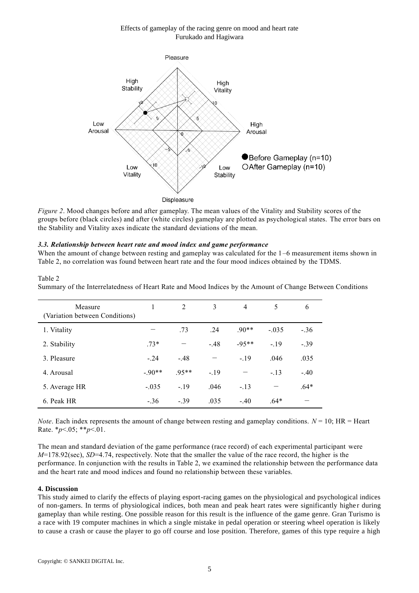# Effects of gameplay of the racing genre on mood and heart rate Furukado and Hagiwara



*Figure 2*. Mood changes before and after gameplay. The mean values of the Vitality and Stability scores of the groups before (black circles) and after (white circles) gameplay are plotted as psychological states. The error bars on the Stability and Vitality axes indicate the standard deviations of the mean.

# *3.3. Relationship between heart rate and mood index and game performance*

When the amount of change between resting and gameplay was calculated for the  $1-6$  measurement items shown in Table 2, no correlation was found between heart rate and the four mood indices obtained by the TDMS.

#### Table 2

Summary of the Interrelatedness of Heart Rate and Mood Indices by the Amount of Change Between Conditions

| Measure<br>(Variation between Conditions) |         | 2       | 3      | $\overline{4}$ | 5       | 6      |
|-------------------------------------------|---------|---------|--------|----------------|---------|--------|
| 1. Vitality                               |         | .73     | .24    | $.90**$        | $-.035$ | $-.36$ |
| 2. Stability                              | $.73*$  |         | $-.48$ | $-95**$        | $-19$   | $-.39$ |
| 3. Pleasure                               | $-.24$  | $-.48$  |        | $-.19$         | .046    | .035   |
| 4. Arousal                                | $-90**$ | $.95**$ | $-19$  |                | $-.13$  | $-.40$ |
| 5. Average HR                             | $-.035$ | $-.19$  | .046   | $-.13$         |         | $.64*$ |
| 6. Peak HR                                | $-.36$  | $-.39$  | .035   | $-.40$         | $.64*$  |        |

*Note*. Each index represents the amount of change between resting and gameplay conditions.  $N = 10$ ; HR = Heart Rate. \**p*<.05; \*\**p*<.01.

The mean and standard deviation of the game performance (race record) of each experimental participant were *M*=178.92(sec), *SD*=4.74, respectively. Note that the smaller the value of the race record, the higher is the performance. In conjunction with the results in Table 2, we examined the relationship between the performance data and the heart rate and mood indices and found no relationship between these variables.

#### **4. Discussion**

This study aimed to clarify the effects of playing esport-racing games on the physiological and psychological indices of non-gamers. In terms of physiological indices, both mean and peak heart rates were significantly highe r during gameplay than while resting. One possible reason for this result is the influence of the game genre. Gran Turismo is a race with 19 computer machines in which a single mistake in pedal operation or steering wheel operation is likely to cause a crash or cause the player to go off course and lose position. Therefore, games of this type require a high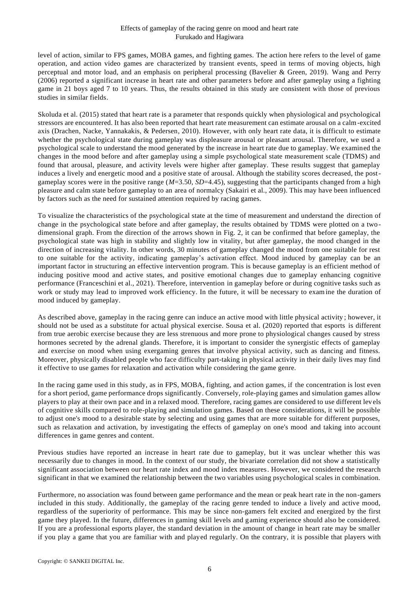#### Effects of gameplay of the racing genre on mood and heart rate Furukado and Hagiwara

level of action, similar to FPS games, MOBA games, and fighting games. The action here refers to the level of game operation, and action video games are characterized by transient events, speed in terms of moving objects, high perceptual and motor load, and an emphasis on peripheral processing (Bavelier & Green, 2019). Wang and Perry (2006) reported a significant increase in heart rate and other parameters before and after gameplay using a fighting game in 21 boys aged 7 to 10 years. Thus, the results obtained in this study are consistent with those of previous studies in similar fields.

Skoluda et al. (2015) stated that heart rate is a parameter that responds quickly when physiological and psychological stressors are encountered. It has also been reported that heart rate measurement can estimate arousal on a calm-excited axis (Drachen, Nacke, Yannakakis, & Pedersen, 2010). However, with only heart rate data, it is difficult to estimate whether the psychological state during gameplay was displeasure arousal or pleasant arousal. Therefore, we used a psychological scale to understand the mood generated by the increase in heart rate due to gameplay. We examined the changes in the mood before and after gameplay using a simple psychological state measurement scale (TDMS) and found that arousal, pleasure, and activity levels were higher after gameplay. These results suggest that gameplay induces a lively and energetic mood and a positive state of arousal. Although the stability scores decreased, the postgameplay scores were in the positive range (*M*=3.50, *SD*=4.45), suggesting that the participants changed from a high pleasure and calm state before gameplay to an area of normalcy (Sakairi et al., 2009). This may have been influenced by factors such as the need for sustained attention required by racing games.

To visualize the characteristics of the psychological state at the time of measurement and understand the direction of change in the psychological state before and after gameplay, the results obtained by TDMS were plotted on a two dimensional graph. From the direction of the arrows shown in Fig. 2, it can be confirmed that before gameplay, the psychological state was high in stability and slightly low in vitality, but after gameplay, the mood changed in the direction of increasing vitality. In other words, 30 minutes of gameplay changed the mood from one suitable for rest to one suitable for the activity, indicating gameplay's activation effect. Mood induced by gameplay can be an important factor in structuring an effective intervention program. This is because gameplay is an efficient method of inducing positive mood and active states, and positive emotional changes due to gameplay enhancing cognitive performance (Franceschini et al., 2021). Therefore, intervention in gameplay before or during cognitive tasks such as work or study may lead to improved work efficiency. In the future, it will be necessary to examine the duration of mood induced by gameplay.

As described above, gameplay in the racing genre can induce an active mood with little physical activity ; however, it should not be used as a substitute for actual physical exercise. Sousa et al. (2020) reported that esports is different from true aerobic exercise because they are less strenuous and more prone to physiological changes caused by stress hormones secreted by the adrenal glands. Therefore, it is important to consider the synergistic effects of gameplay and exercise on mood when using exergaming genres that involve physical activity, such as dancing and fitness. Moreover, physically disabled people who face difficulty part-taking in physical activity in their daily lives may find it effective to use games for relaxation and activation while considering the game genre.

In the racing game used in this study, as in FPS, MOBA, fighting, and action games, if the concentration is lost even for a short period, game performance drops significantly. Conversely, role-playing games and simulation games allow players to play at their own pace and in a relaxed mood. Therefore, racing games are considered to use different levels of cognitive skills compared to role-playing and simulation games. Based on these considerations, it will be possible to adjust one's mood to a desirable state by selecting and using games that are more suitable for different purposes, such as relaxation and activation, by investigating the effects of gameplay on one's mood and taking into account differences in game genres and content.

Previous studies have reported an increase in heart rate due to gameplay, but it was unclear whether this was necessarily due to changes in mood. In the context of our study, the bivariate correlation did not show a statistically significant association between our heart rate index and mood index measures. However, we considered the research significant in that we examined the relationship between the two variables using psychological scales in combination.

Furthermore, no association was found between game performance and the mean or peak heart rate in the non-gamers included in this study. Additionally, the gameplay of the racing genre tended to induce a lively and active mood, regardless of the superiority of performance. This may be since non-gamers felt excited and energized by the first game they played. In the future, differences in gaming skill levels and gaming experience should also be considered. If you are a professional esports player, the standard deviation in the amount of change in heart rate may be smaller if you play a game that you are familiar with and played regularly. On the contrary, it is possible that players with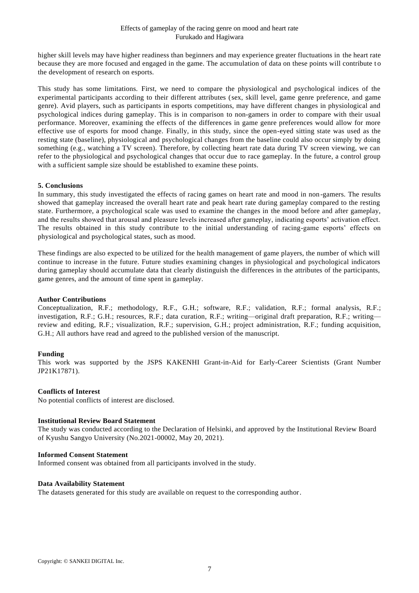higher skill levels may have higher readiness than beginners and may experience greater fluctuations in the heart rate because they are more focused and engaged in the game. The accumulation of data on these points will contribute to the development of research on esports.

This study has some limitations. First, we need to compare the physiological and psychological indices of the experimental participants according to their different attributes (sex, skill level, game genre preference, and game genre). Avid players, such as participants in esports competitions, may have different changes in physiological and psychological indices during gameplay. This is in comparison to non-gamers in order to compare with their usual performance. Moreover, examining the effects of the differences in game genre preferences would allow for more effective use of esports for mood change. Finally, in this study, since the open-eyed sitting state was used as the resting state (baseline), physiological and psychological changes from the baseline could also occur simply by doing something (e.g., watching a TV screen). Therefore, by collecting heart rate data during TV screen viewing, we can refer to the physiological and psychological changes that occur due to race gameplay. In the future, a control group with a sufficient sample size should be established to examine these points.

# **5. Conclusions**

In summary, this study investigated the effects of racing games on heart rate and mood in non -gamers. The results showed that gameplay increased the overall heart rate and peak heart rate during gameplay compared to the resting state. Furthermore, a psychological scale was used to examine the changes in the mood before and after gameplay, and the results showed that arousal and pleasure levels increased after gameplay, indicating esports' activation effect. The results obtained in this study contribute to the initial understanding of racing-game esports' effects on physiological and psychological states, such as mood.

These findings are also expected to be utilized for the health management of game players, the number of which will continue to increase in the future. Future studies examining changes in physiological and psychological indicators during gameplay should accumulate data that clearly distinguish the differences in the attributes of the participants, game genres, and the amount of time spent in gameplay.

#### **Author Contributions**

Conceptualization, R.F.; methodology, R.F., G.H.; software, R.F.; validation, R.F.; formal analysis, R.F.; investigation, R.F.; G.H.; resources, R.F.; data curation, R.F.; writing—original draft preparation, R.F.; writing review and editing, R.F.; visualization, R.F.; supervision, G.H.; project administration, R.F.; funding acquisition, G.H.; All authors have read and agreed to the published version of the manuscript.

#### **Funding**

This work was supported by the JSPS KAKENHI Grant-in-Aid for Early-Career Scientists (Grant Number JP21K17871).

#### **Conflicts of Interest**

No potential conflicts of interest are disclosed.

#### **Institutional Review Board Statement**

The study was conducted according to the Declaration of Helsinki, and approved by the Institutional Review Board of Kyushu Sangyo University (No.2021-00002, May 20, 2021).

#### **Informed Consent Statement**

Informed consent was obtained from all participants involved in the study.

#### **Data Availability Statement**

The datasets generated for this study are available on request to the corresponding author.